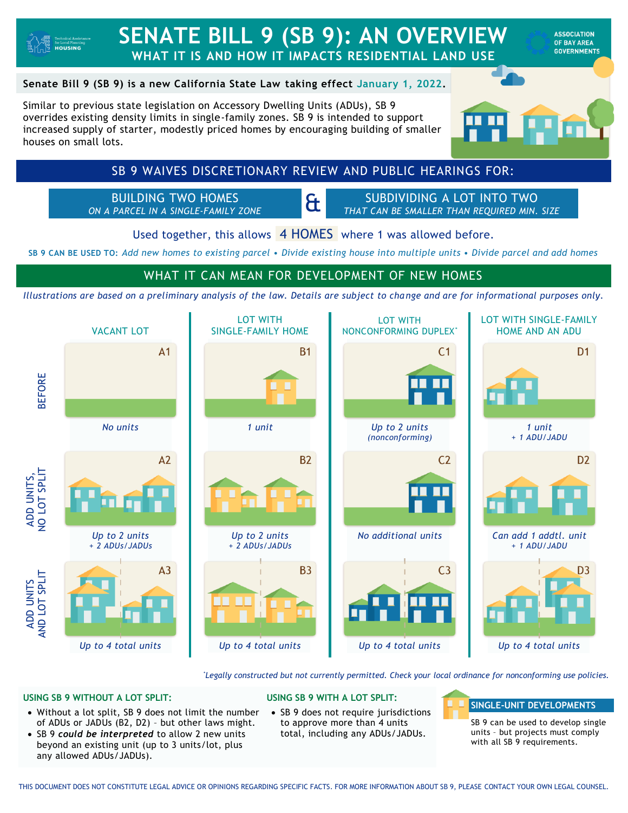

# **SENATE BILL 9 (SB 9): AN OVERVIEW WHAT IT IS AND HOW IT IMPACTS RESIDENTIAL LAND USE**

**ASSOCIATION OF RAY AREA GOVERNMENTS** 

### **Senate Bill 9 (SB 9) is a new California State Law taking effect January 1, 2022.**

Similar to previous state legislation on Accessory Dwelling Units (ADUs), SB 9 overrides existing density limits in single-family zones. SB 9 is intended to support increased supply of starter, modestly priced homes by encouraging building of smaller houses on small lots.



## SB 9 WAIVES DISCRETIONARY REVIEW AND PUBLIC HEARINGS FOR:

BUILDING TWO HOMES *ON A PARCEL IN A SINGLE-FAMILY ZONE* 

SUBDIVIDING A LOT INTO TWO *THAT CAN BE SMALLER THAN REQUIRED MIN. SIZE*

Used together, this allows 4 HOMES where 1 was allowed before.

**SB 9 CAN BE USED TO:** *Add new homes to existing parcel • Divide existing house into multiple units • Divide parcel and add homes*

### WHAT IT CAN MEAN FOR DEVELOPMENT OF NEW HOMES

*Illustrations are based on a preliminary analysis of the law. Details are subject to cha nge and are for informational purposes only.*



\**Legally constructed but not currently permitted. Check your local ordinance for nonconforming use policies.*

### **USING SB 9 WITHOUT A LOT SPLIT:**

- Without a lot split, SB 9 does not limit the number of ADUs or JADUs (B2, D2) – but other laws might.
- SB 9 *could be interpreted* to allow 2 new units beyond an existing unit (up to 3 units/lot, plus any allowed ADUs/JADUs).

#### **USING SB 9 WITH A LOT SPLIT:**

• SB 9 does not require jurisdictions to approve more than 4 units total, including any ADUs/JADUs.

#### **SINGLE-UNIT DEVELOPMENTS**

SB 9 can be used to develop single units – but projects must comply with all SB 9 requirements.